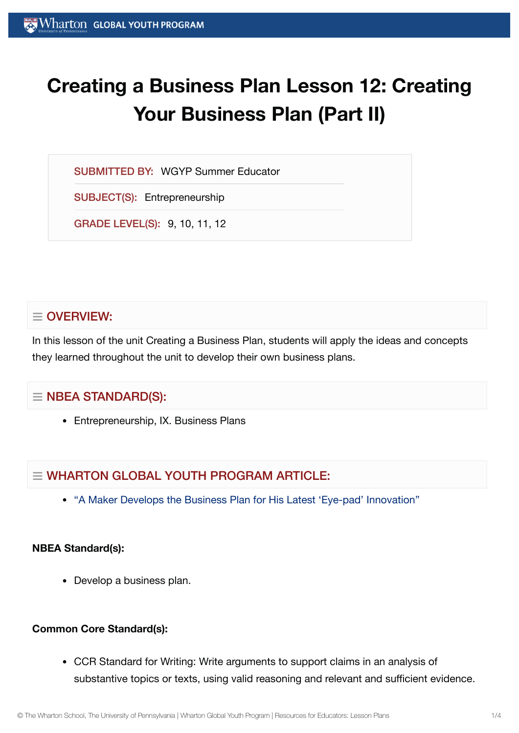# **Creating a Business Plan Lesson 12: Creating Your Business Plan (Part II)**

SUBMITTED BY: WGYP Summer Educator

SUBJECT(S): Entrepreneurship

GRADE LEVEL(S): 9, 10, 11, 12

## $\equiv$  OVERVIEW:

In this lesson of the unit Creating a Business Plan, students will apply the ideas and concepts they learned throughout the unit to develop their own business plans.

## $\equiv$  NBEA STANDARD(S):

• Entrepreneurship, IX. Business Plans

# $\equiv$  WHARTON GLOBAL YOUTH PROGRAM ARTICLE:

"A Maker Develops the [Business Plan](https://globalyouth.wharton.upenn.edu/articles/young-maker-develops-business-plan-latest-eye-pad-innovation/) for His Latest 'Eye-pad' Innovation"

### **NBEA Standard(s):**

• Develop a business plan.

## **Common Core Standard(s):**

CCR Standard for Writing: Write arguments to support claims in an analysis of substantive topics or texts, using valid reasoning and relevant and sufficient evidence.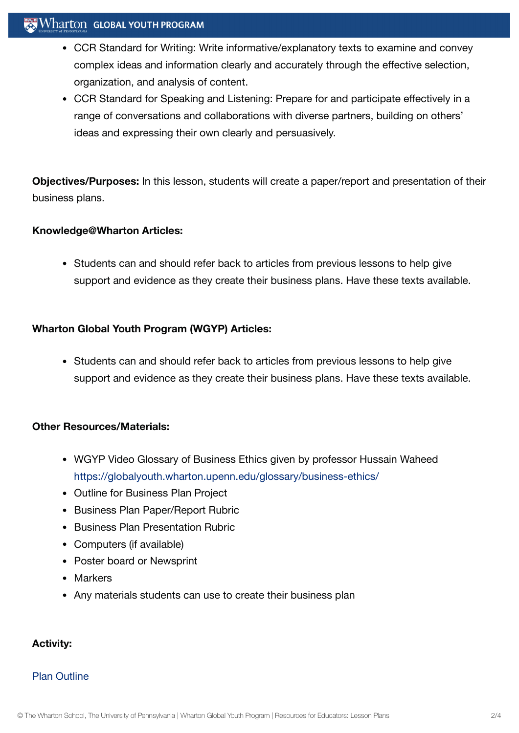#### $\mathbb{R}$  Wharton Global Youth Program

- CCR Standard for Writing: Write informative/explanatory texts to examine and convey complex ideas and information clearly and accurately through the effective selection, organization, and analysis of content.
- CCR Standard for Speaking and Listening: Prepare for and participate effectively in a range of conversations and collaborations with diverse partners, building on others' ideas and expressing their own clearly and persuasively.

**Objectives/Purposes:** In this lesson, students will create a paper/report and presentation of their business plans.

#### **Knowledge@Wharton Articles:**

• Students can and should refer back to articles from previous lessons to help give support and evidence as they create their business plans. Have these texts available.

#### **Wharton Global Youth Program (WGYP) Articles:**

• Students can and should refer back to articles from previous lessons to help give support and evidence as they create their business plans. Have these texts available.

#### **Other Resources/Materials:**

- WGYP Video Glossary of Business Ethics given by professor Hussain Waheed <https://globalyouth.wharton.upenn.edu/glossary/business-ethics/>
- Outline for Business Plan Project
- Business Plan Paper/Report Rubric
- Business Plan Presentation Rubric
- Computers (if available)
- Poster board or Newsprint
- Markers
- Any materials students can use to create their business plan

#### **Activity:**

#### Plan [Outline](https://globalyouth.wharton.upenn.edu/wp-content/uploads/2012/02/Entrepreneurship12_PlanOutline.doc)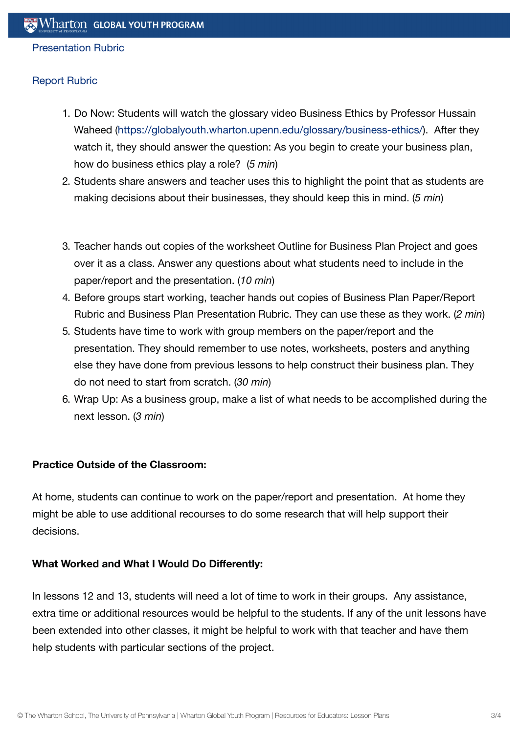#### [Presentation](https://globalyouth.wharton.upenn.edu/wp-content/uploads/2012/02/Entrepreneurship12_PresentationRubric.doc) Rubric

#### [Report](https://globalyouth.wharton.upenn.edu/wp-content/uploads/2012/02/Entrepreneurship12_ReportRubric.doc) Rubric

- 1. Do Now: Students will watch the glossary video Business Ethics by Professor Hussain Waheed [\(https://globalyouth.wharton.upenn.edu/glossary/business-ethics/](https://globalyouth.wharton.upenn.edu/glossary/business-ethics/)). After they watch it, they should answer the question: As you begin to create your business plan, how do business ethics play a role? (*5 min*)
- 2. Students share answers and teacher uses this to highlight the point that as students are making decisions about their businesses, they should keep this in mind. (*5 min*)
- 3. Teacher hands out copies of the worksheet Outline for Business Plan Project and goes over it as a class. Answer any questions about what students need to include in the paper/report and the presentation. (*10 min*)
- 4. Before groups start working, teacher hands out copies of Business Plan Paper/Report Rubric and Business Plan Presentation Rubric. They can use these as they work. (*2 min*)
- 5. Students have time to work with group members on the paper/report and the presentation. They should remember to use notes, worksheets, posters and anything else they have done from previous lessons to help construct their business plan. They do not need to start from scratch. (*30 min*)
- 6. Wrap Up: As a business group, make a list of what needs to be accomplished during the next lesson. (*3 min*)

#### **Practice Outside of the Classroom:**

At home, students can continue to work on the paper/report and presentation. At home they might be able to use additional recourses to do some research that will help support their decisions.

#### **What Worked and What I Would Do Differently:**

In lessons 12 and 13, students will need a lot of time to work in their groups. Any assistance, extra time or additional resources would be helpful to the students. If any of the unit lessons have been extended into other classes, it might be helpful to work with that teacher and have them help students with particular sections of the project.